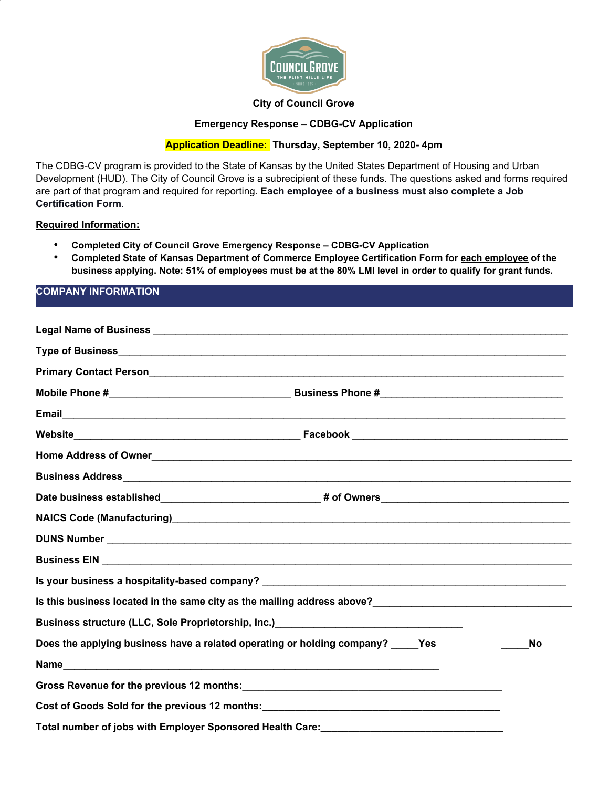

### **City of Council Grove**

## **Emergency Response – CDBG-CV Application**

## **Application Deadline: Thursday, September 10, 2020- 4pm**

The CDBG-CV program is provided to the State of Kansas by the United States Department of Housing and Urban Development (HUD). The City of Council Grove is a subrecipient of these funds. The questions asked and forms required are part of that program and required for reporting. **Each employee of a business must also complete a Job Certification Form**.

#### **Required Information:**

- **Completed City of Council Grove Emergency Response – CDBG-CV Application**
- **Completed State of Kansas Department of Commerce Employee Certification Form for each employee of the** business applying. Note: 51% of employees must be at the 80% LMI level in order to qualify for grant funds.

# **COMPANY INFORMATION**

|                                                                                                                                                                               | Business structure (LLC, Sole Proprietorship, Inc.)_____________________________  |    |
|-------------------------------------------------------------------------------------------------------------------------------------------------------------------------------|-----------------------------------------------------------------------------------|----|
|                                                                                                                                                                               | Does the applying business have a related operating or holding company? Yes       | No |
| Name <b>Name Name Name <i>Name</i> Mame Mame Mame Mame Mame Mame Mame Mame Mame Mame Mame Mame Mame Mame Mame Mame Mame Mame Mame Mame Mame Mame Mame Mame Mame Mame Mame</b> |                                                                                   |    |
|                                                                                                                                                                               |                                                                                   |    |
|                                                                                                                                                                               | Cost of Goods Sold for the previous 12 months: __________________________________ |    |
|                                                                                                                                                                               |                                                                                   |    |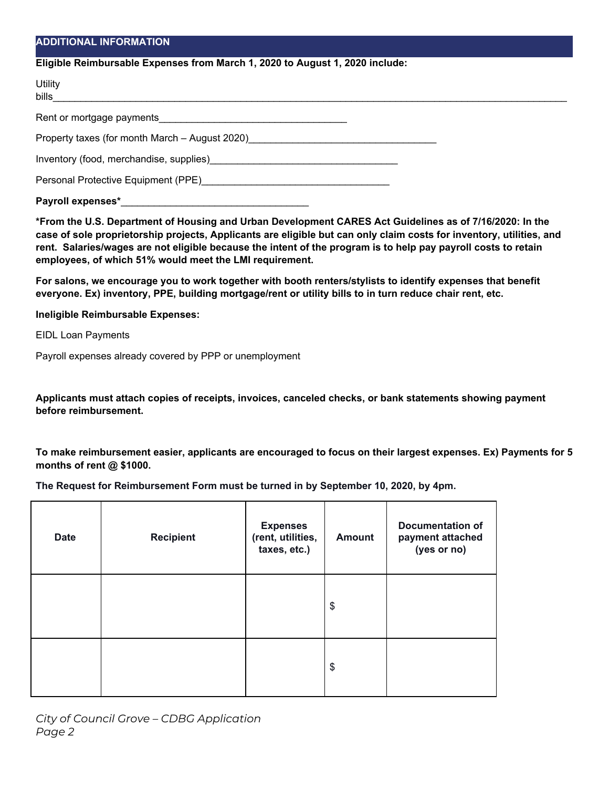#### **ADDITIONAL INFORMATION**

### **Eligible Reimbursable Expenses from March 1, 2020 to August 1, 2020 include:**

| <b>Utility</b><br><b>bills</b>                                                                                                                                                                                                 |  |
|--------------------------------------------------------------------------------------------------------------------------------------------------------------------------------------------------------------------------------|--|
|                                                                                                                                                                                                                                |  |
| Property taxes (for month March – August 2020)                                                                                                                                                                                 |  |
|                                                                                                                                                                                                                                |  |
| Personal Protective Equipment (PPE) Network and the example of the example of the example of the example of the example of the example of the example of the example of the example of the example of the example of the examp |  |
| Payroll expenses*_                                                                                                                                                                                                             |  |

**\*From the U.S. Department of Housing and Urban Development CARES Act Guidelines as of 7/16/2020: In the** case of sole proprietorship projects, Applicants are eligible but can only claim costs for inventory, utilities, and rent. Salaries/wages are not eligible because the intent of the program is to help pay payroll costs to retain **employees, of which 51% would meet the LMI requirement.**

**For salons, we encourage you to work together with booth renters/stylists to identify expenses that benefit everyone. Ex) inventory, PPE, building mortgage/rent or utility bills to in turn reduce chair rent, etc.**

#### **Ineligible Reimbursable Expenses:**

EIDL Loan Payments

Payroll expenses already covered by PPP or unemployment

**Applicants must attach copies of receipts, invoices, canceled checks, or bank statements showing payment before reimbursement.**

To make reimbursement easier, applicants are encouraged to focus on their largest expenses. Ex) Payments for 5 **months of rent @ \$1000.**

**The Request for Reimbursement Form must be turned in by September 10, 2020, by 4pm.**

| <b>Date</b> | <b>Recipient</b> | <b>Expenses</b><br>(rent, utilities,<br>taxes, etc.) | <b>Amount</b>             | <b>Documentation of</b><br>payment attached<br>(yes or no) |
|-------------|------------------|------------------------------------------------------|---------------------------|------------------------------------------------------------|
|             |                  |                                                      | $\boldsymbol{\mathsf{S}}$ |                                                            |
|             |                  |                                                      | $\boldsymbol{\mathsf{S}}$ |                                                            |

*City of Council Grove – CDBG Application Page 2*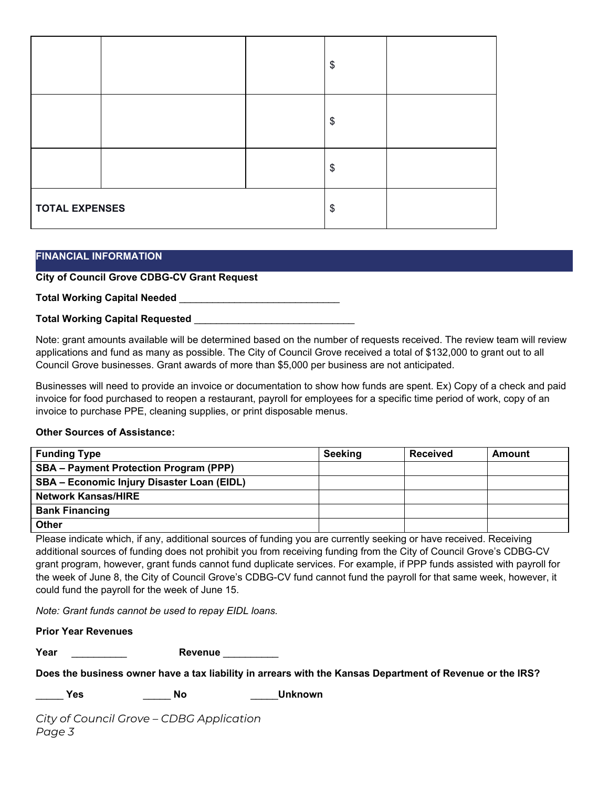|                       |  | \$                         |  |
|-----------------------|--|----------------------------|--|
|                       |  | $\boldsymbol{\mathsf{\$}}$ |  |
|                       |  | \$                         |  |
| <b>TOTAL EXPENSES</b> |  | $\,$                       |  |

### **FINANCIAL INFORMATION**

**City of Council Grove CDBG-CV Grant Request**

**Total Working Capital Needed** \_\_\_\_\_\_\_\_\_\_\_\_\_\_\_\_\_\_\_\_\_\_\_\_\_\_\_\_\_

## **Total Working Capital Requested** \_\_\_\_\_\_\_\_\_\_\_\_\_\_\_\_\_\_\_\_\_\_\_\_\_\_\_\_\_

Note: grant amounts available will be determined based on the number of requests received. The review team will review applications and fund as many as possible. The City of Council Grove received a total of \$132,000 to grant out to all Council Grove businesses. Grant awards of more than \$5,000 per business are not anticipated.

Businesses will need to provide an invoice or documentation to show how funds are spent. Ex) Copy of a check and paid invoice for food purchased to reopen a restaurant, payroll for employees for a specific time period of work, copy of an invoice to purchase PPE, cleaning supplies, or print disposable menus.

# **Other Sources of Assistance:**

| <b>Funding Type</b>                               | <b>Seeking</b> | <b>Received</b> | Amount |
|---------------------------------------------------|----------------|-----------------|--------|
| <b>SBA - Payment Protection Program (PPP)</b>     |                |                 |        |
| <b>SBA - Economic Injury Disaster Loan (EIDL)</b> |                |                 |        |
| <b>Network Kansas/HIRE</b>                        |                |                 |        |
| <b>Bank Financing</b>                             |                |                 |        |
| Other                                             |                |                 |        |

Please indicate which, if any, additional sources of funding you are currently seeking or have received. Receiving additional sources of funding does not prohibit you from receiving funding from the City of Council Grove's CDBG-CV grant program, however, grant funds cannot fund duplicate services. For example, if PPP funds assisted with payroll for the week of June 8, the City of Council Grove's CDBG-CV fund cannot fund the payroll for that same week, however, it could fund the payroll for the week of June 15.

*Note: Grant funds cannot be used to repay EIDL loans.*

**Prior Year Revenues**

**Year Revenue Revenue** 

Does the business owner have a tax liability in arrears with the Kansas Department of Revenue or the IRS?

\_\_\_\_\_ **Yes** \_\_\_\_\_ **No** \_\_\_\_\_**Unknown**

*City of Council Grove – CDBG Application Page 3*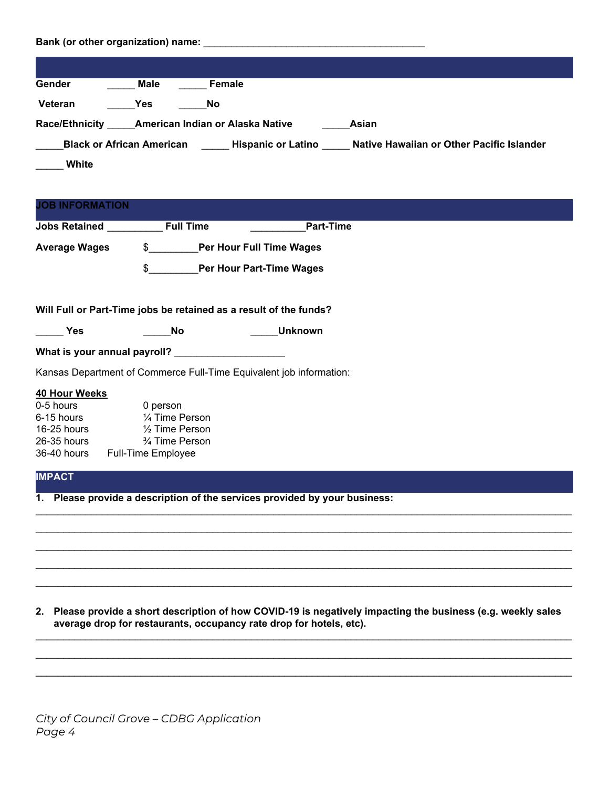| Bank (or other organization) name: |                                                |                                                                            |                  |                                                                                                      |
|------------------------------------|------------------------------------------------|----------------------------------------------------------------------------|------------------|------------------------------------------------------------------------------------------------------|
|                                    |                                                |                                                                            |                  |                                                                                                      |
| Gender                             | Male                                           | Female                                                                     |                  |                                                                                                      |
| Veteran                            | <b>Yes</b>                                     | No                                                                         |                  |                                                                                                      |
|                                    |                                                | Race/Ethnicity _____ American Indian or Alaska Native ________ Asian       |                  |                                                                                                      |
|                                    |                                                |                                                                            |                  | Black or African American _______Hispanic or Latino ______ Native Hawaiian or Other Pacific Islander |
| White                              |                                                |                                                                            |                  |                                                                                                      |
|                                    |                                                |                                                                            |                  |                                                                                                      |
| <b>JOB INFORMATION</b>             |                                                |                                                                            |                  |                                                                                                      |
| Jobs Retained Full Time            |                                                |                                                                            | <b>Part-Time</b> |                                                                                                      |
| <b>Average Wages</b>               |                                                | \$ Per Hour Full Time Wages                                                |                  |                                                                                                      |
|                                    | $\frac{1}{2}$                                  | <b>Per Hour Part-Time Wages</b>                                            |                  |                                                                                                      |
|                                    |                                                |                                                                            |                  |                                                                                                      |
|                                    |                                                | Will Full or Part-Time jobs be retained as a result of the funds?          |                  |                                                                                                      |
| <b>Property</b>                    | <b>No</b>                                      |                                                                            | <b>Unknown</b>   |                                                                                                      |
|                                    |                                                | What is your annual payroll? ______________________                        |                  |                                                                                                      |
|                                    |                                                | Kansas Department of Commerce Full-Time Equivalent job information:        |                  |                                                                                                      |
| 40 Hour Weeks                      |                                                |                                                                            |                  |                                                                                                      |
| 0-5 hours                          | 0 person                                       |                                                                            |                  |                                                                                                      |
| 6-15 hours<br>16-25 hours          | 1/4 Time Person<br>1/ <sub>2</sub> Time Person |                                                                            |                  |                                                                                                      |
| 26-35 hours                        | 3/4 Time Person                                |                                                                            |                  |                                                                                                      |
| 36-40 hours Full-Time Employee     |                                                |                                                                            |                  |                                                                                                      |
| <b>IMPACT</b>                      |                                                |                                                                            |                  |                                                                                                      |
|                                    |                                                | 1. Please provide a description of the services provided by your business: |                  |                                                                                                      |
|                                    |                                                |                                                                            |                  |                                                                                                      |

2. Please provide a short description of how COVID-19 is negatively impacting the business (e.g. weekly sales **average drop for restaurants, occupancy rate drop for hotels, etc).**

 $\_$  ,  $\_$  ,  $\_$  ,  $\_$  ,  $\_$  ,  $\_$  ,  $\_$  ,  $\_$  ,  $\_$  ,  $\_$  ,  $\_$  ,  $\_$  ,  $\_$  ,  $\_$  ,  $\_$  ,  $\_$  ,  $\_$  ,  $\_$  ,  $\_$  ,  $\_$  ,  $\_$  ,  $\_$  ,  $\_$  ,  $\_$  ,  $\_$  ,  $\_$  ,  $\_$  ,  $\_$  ,  $\_$  ,  $\_$  ,  $\_$  ,  $\_$  ,  $\_$  ,  $\_$  ,  $\_$  ,  $\_$  ,  $\_$  ,  $\_$  ,  $\_$  ,  $\_$  ,  $\_$  ,  $\_$  ,  $\_$  ,  $\_$  ,  $\_$  ,  $\_$  ,  $\_$  ,  $\_$  ,  $\_$  ,  $\_$  ,  $\_$  ,  $\_$  ,  $\_$  ,  $\_$  ,  $\_$  ,  $\_$  ,  $\_$  ,  $\_$  ,  $\_$  ,  $\_$  ,  $\_$  ,  $\_$  ,  $\_$  ,  $\_$  ,  $\_$  ,  $\_$  ,  $\_$  ,  $\_$  ,  $\_$  ,  $\_$  ,  $\_$  ,  $\_$  ,  $\_$  ,  $\_$  ,  $\_$  ,  $\_$  ,  $\_$  ,  $\_$  ,  $\_$  ,  $\_$  ,  $\_$  ,  $\_$  ,  $\_$  ,  $\_$  ,  $\_$  ,  $\_$  ,  $\_$  ,  $\_$  ,  $\_$  ,  $\_$  ,  $\_$  ,  $\_$  ,  $\_$  ,  $\_$  ,  $\_$  ,  $\_$  ,  $\_$  ,  $\_$  ,  $\_$  ,  $\_$  ,  $\_$  ,  $\_$  ,  $\_$  ,  $\_$  ,  $\_$  ,  $\_$  ,  $\_$  ,  $\_$  ,  $\_$  ,  $\_$  ,  $\_$  ,

 $\_$  ,  $\_$  ,  $\_$  ,  $\_$  ,  $\_$  ,  $\_$  ,  $\_$  ,  $\_$  ,  $\_$  ,  $\_$  ,  $\_$  ,  $\_$  ,  $\_$  ,  $\_$  ,  $\_$  ,  $\_$  ,  $\_$  ,  $\_$  ,  $\_$  ,  $\_$  ,  $\_$  ,  $\_$  ,  $\_$  ,  $\_$  ,  $\_$  ,  $\_$  ,  $\_$  ,  $\_$  ,  $\_$  ,  $\_$  ,  $\_$  ,  $\_$  ,  $\_$  ,  $\_$  ,  $\_$  ,  $\_$  ,  $\_$  ,  $\_$  ,  $\_$  ,  $\_$  ,  $\_$  ,  $\_$  ,  $\_$  ,  $\_$  ,  $\_$  ,  $\_$  ,  $\_$  ,  $\_$  ,  $\_$  ,  $\_$  ,  $\_$  ,  $\_$  ,  $\_$  ,  $\_$  ,  $\_$  ,  $\_$  ,  $\_$  ,  $\_$  ,  $\_$  ,  $\_$  ,  $\_$  ,  $\_$  ,  $\_$  ,  $\_$  ,  $\_$  ,  $\_$  ,  $\_$  ,  $\_$  ,  $\_$  ,  $\_$  ,  $\_$  ,  $\_$  ,  $\_$  ,  $\_$  ,  $\_$  ,  $\_$  ,  $\_$  ,  $\_$  ,  $\_$  ,  $\_$  ,  $\_$  ,  $\_$  ,  $\_$  ,  $\_$  ,  $\_$  ,  $\_$  ,  $\_$  ,  $\_$  ,  $\_$  ,  $\_$  ,  $\_$  ,  $\_$  ,  $\_$  ,  $\_$  ,  $\_$  ,  $\_$  ,  $\_$  ,  $\_$  ,  $\_$  ,  $\_$  ,  $\_$  ,  $\_$  ,  $\_$  ,  $\_$  ,  $\_$  ,  $\_$  ,  $\_$  ,  $\_$  ,  $\_$  ,  $\_$  ,  $\_$  ,  $\_$  ,  $\_$  ,  $\_$  ,  $\_$  ,  $\_$  ,  $\_$  ,  $\_$  ,  $\_$  ,  $\_$  ,  $\_$  ,  $\_$  ,  $\_$  ,  $\_$  ,  $\_$  ,  $\_$  ,  $\_$  ,  $\_$  ,  $\_$  ,  $\_$  ,  $\_$  ,  $\_$  ,  $\_$  ,  $\_$  ,  $\_$  ,  $\_$  ,  $\_$  ,  $\_$  ,  $\_$  ,  $\_$  ,  $\_$  ,  $\_$  ,  $\_$  ,  $\_$  ,  $\_$  ,  $\_$  ,  $\_$  ,  $\_$  ,